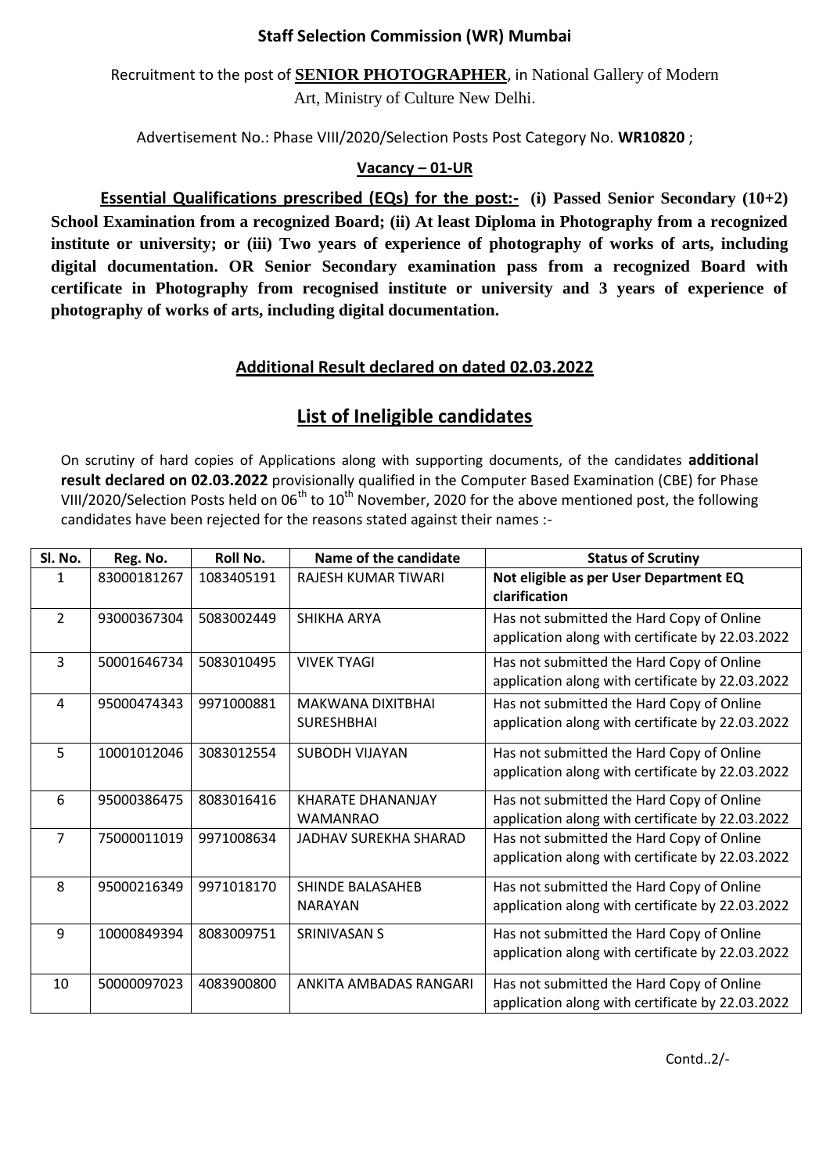## **Staff Selection Commission (WR) Mumbai**

Recruitment to the post of **SENIOR PHOTOGRAPHER**, in National Gallery of Modern Art, Ministry of Culture New Delhi.

Advertisement No.: Phase VIII/2020/Selection Posts Post Category No. **WR10820** ;

## **Vacancy – 01-UR**

**Essential Qualifications prescribed (EQs) for the post:-** (i) Passed Senior Secondary (10+2) **School Examination from a recognized Board; (ii) At least Diploma in Photography from a recognized institute or university; or (iii) Two years of experience of photography of works of arts, including digital documentation. OR Senior Secondary examination pass from a recognized Board with certificate in Photography from recognised institute or university and 3 years of experience of photography of works of arts, including digital documentation.**

## **Additional Result declared on dated 02.03.2022**

## **List of Ineligible candidates**

On scrutiny of hard copies of Applications along with supporting documents, of the candidates **additional result declared on 02.03.2022** provisionally qualified in the Computer Based Examination (CBE) for Phase VIII/2020/Selection Posts held on  $06<sup>th</sup>$  to  $10<sup>th</sup>$  November, 2020 for the above mentioned post, the following candidates have been rejected for the reasons stated against their names :-

| Sl. No.        | Reg. No.    | Roll No.   | Name of the candidate                       | <b>Status of Scrutiny</b>                                                                     |
|----------------|-------------|------------|---------------------------------------------|-----------------------------------------------------------------------------------------------|
|                | 83000181267 | 1083405191 | <b>RAJESH KUMAR TIWARI</b>                  | Not eligible as per User Department EQ<br>clarification                                       |
| $\overline{2}$ | 93000367304 | 5083002449 | SHIKHA ARYA                                 | Has not submitted the Hard Copy of Online<br>application along with certificate by 22.03.2022 |
| 3              | 50001646734 | 5083010495 | <b>VIVEK TYAGI</b>                          | Has not submitted the Hard Copy of Online<br>application along with certificate by 22.03.2022 |
| 4              | 95000474343 | 9971000881 | MAKWANA DIXITBHAI<br><b>SURESHBHAI</b>      | Has not submitted the Hard Copy of Online<br>application along with certificate by 22.03.2022 |
| 5              | 10001012046 | 3083012554 | <b>SUBODH VIJAYAN</b>                       | Has not submitted the Hard Copy of Online<br>application along with certificate by 22.03.2022 |
| 6              | 95000386475 | 8083016416 | <b>KHARATE DHANANJAY</b><br><b>WAMANRAO</b> | Has not submitted the Hard Copy of Online<br>application along with certificate by 22.03.2022 |
| $\overline{7}$ | 75000011019 | 9971008634 | JADHAV SUREKHA SHARAD                       | Has not submitted the Hard Copy of Online<br>application along with certificate by 22.03.2022 |
| 8              | 95000216349 | 9971018170 | <b>SHINDF BALASAHFB</b><br><b>NARAYAN</b>   | Has not submitted the Hard Copy of Online<br>application along with certificate by 22.03.2022 |
| 9              | 10000849394 | 8083009751 | <b>SRINIVASAN S</b>                         | Has not submitted the Hard Copy of Online<br>application along with certificate by 22.03.2022 |
| 10             | 50000097023 | 4083900800 | ANKITA AMBADAS RANGARI                      | Has not submitted the Hard Copy of Online<br>application along with certificate by 22.03.2022 |